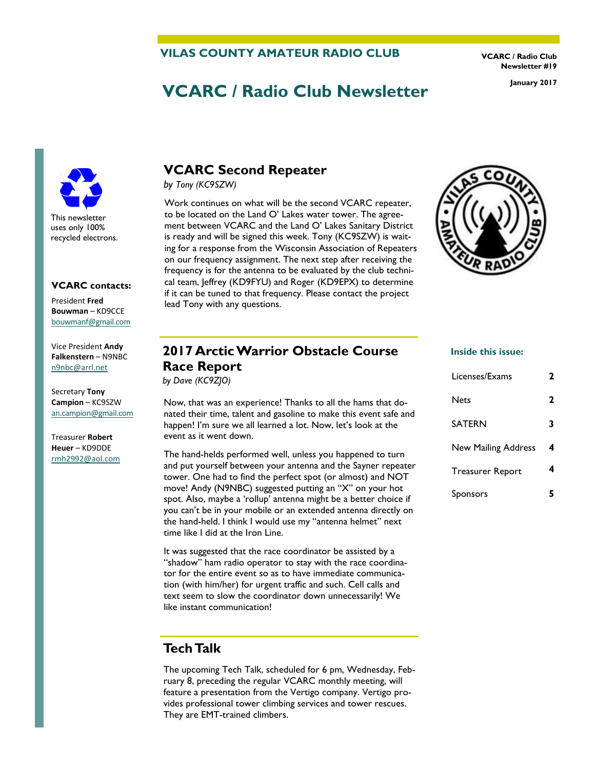### **VILAS COUNTY AMATEUR RADIO CLUB**

**VCARC / Radio Club Newsletter #19** 

# **VCARC / Radio Club Newsletter January 2017**

This newsletter uses only 100% recycled electrons.

#### **VCARC contacts:**

President **Fred Bouwman** – KD9CCE [bouwmanf@gmail.com](mailto:an.campion@gmail.com)

Vice President **Andy Falkenstern** – N9NBC [n9nbc@arrl.net](mailto:n9nbc@arrl.net)

Secretary **Tony Campion** – KC9SZW [an.campion@gmail.com](mailto:an.campion@gmail.com)

Treasurer **Robert Heuer** – KD9DDE rmh2992@aol.com

# **VCARC Second Repeater**

*by Tony (KC9SZW)* 

Work continues on what will be the second VCARC repeater, to be located on the Land O' Lakes water tower. The agreement between VCARC and the Land O' Lakes Sanitary District is ready and will be signed this week. Tony (KC9SZW) is waiting for a response from the Wisconsin Association of Repeaters on our frequency assignment. The next step after receiving the frequency is for the antenna to be evaluated by the club technical team, Jeffrey (KD9FYU) and Roger (KD9EPX) to determine if it can be tuned to that frequency. Please contact the project lead Tony with any questions.



# **2017 Arctic Warrior Obstacle Course Race Report**

*by Dave (KC9ZJO)* 

Now, that was an experience! Thanks to all the hams that donated their time, talent and gasoline to make this event safe and happen! I'm sure we all learned a lot. Now, let's look at the event as it went down.

The hand-helds performed well, unless you happened to turn and put yourself between your antenna and the Sayner repeater tower. One had to find the perfect spot (or almost) and NOT move! Andy (N9NBC) suggested putting an "X" on your hot spot. Also, maybe a 'rollup' antenna might be a better choice if you can't be in your mobile or an extended antenna directly on the hand-held. I think I would use my "antenna helmet" next time like I did at the Iron Line.

It was suggested that the race coordinator be assisted by a "shadow" ham radio operator to stay with the race coordinator for the entire event so as to have immediate communication (with him/her) for urgent traffic and such. Cell calls and text seem to slow the coordinator down unnecessarily! We like instant communication!

# **Tech Talk**

The upcoming Tech Talk, scheduled for 6 pm, Wednesday, February 8, preceding the regular VCARC monthly meeting, will feature a presentation from the Vertigo company. Vertigo provides professional tower climbing services and tower rescues. They are EMT-trained climbers.

#### **Inside this issue:**

| Licenses/Exams             | 2 |
|----------------------------|---|
| <b>Nets</b>                | 2 |
| <b>SATERN</b>              | 3 |
| <b>New Mailing Address</b> | 4 |
| <b>Treasurer Report</b>    | 4 |
| <b>Sponsors</b>            |   |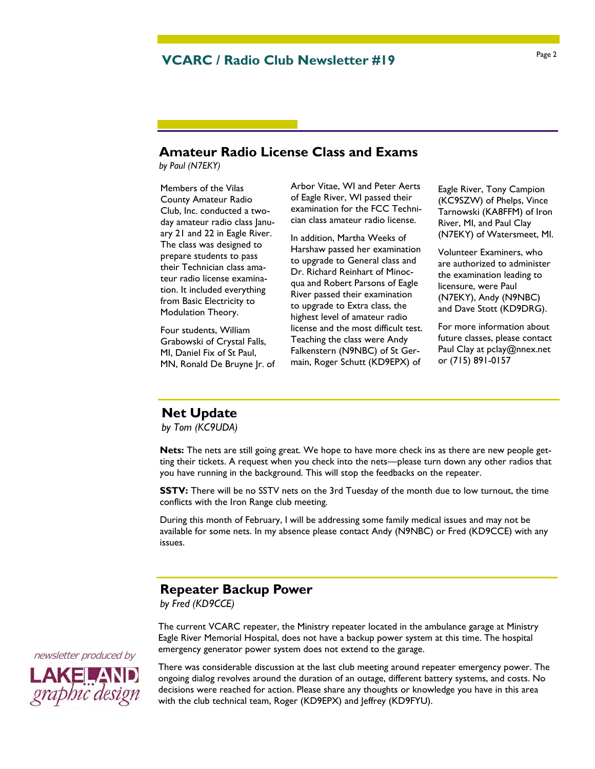### **Amateur Radio License Class and Exams**

*by Paul (N7EKY)* 

Members of the Vilas County Amateur Radio Club, Inc. conducted a twoday amateur radio class January 21 and 22 in Eagle River. The class was designed to prepare students to pass their Technician class amateur radio license examination. It included everything from Basic Electricity to Modulation Theory.

Four students, William Grabowski of Crystal Falls, MI, Daniel Fix of St Paul, MN, Ronald De Bruyne Jr. of Arbor Vitae, WI and Peter Aerts of Eagle River, WI passed their examination for the FCC Technician class amateur radio license.

In addition, Martha Weeks of Harshaw passed her examination to upgrade to General class and Dr. Richard Reinhart of Minocqua and Robert Parsons of Eagle River passed their examination to upgrade to Extra class, the highest level of amateur radio license and the most difficult test. Teaching the class were Andy Falkenstern (N9NBC) of St Germain, Roger Schutt (KD9EPX) of

Eagle River, Tony Campion (KC9SZW) of Phelps, Vince Tarnowski (KA8FFM) of Iron River, MI, and Paul Clay (N7EKY) of Watersmeet, MI.

Volunteer Examiners, who are authorized to administer the examination leading to licensure, were Paul (N7EKY), Andy (N9NBC) and Dave Stott (KD9DRG).

For more information about future classes, please contact Paul Clay at pclay@nnex.net or (715) 891-0157

# **Net Update**

*by Tom (KC9UDA)*

**Nets:** The nets are still going great. We hope to have more check ins as there are new people getting their tickets. A request when you check into the nets—please turn down any other radios that you have running in the background. This will stop the feedbacks on the repeater.

**SSTV:** There will be no SSTV nets on the 3rd Tuesday of the month due to low turnout, the time conflicts with the Iron Range club meeting.

During this month of February, I will be addressing some family medical issues and may not be available for some nets. In my absence please contact Andy (N9NBC) or Fred (KD9CCE) with any issues.

### **Repeater Backup Power**

*by Fred (KD9CCE)*

The current VCARC repeater, the Ministry repeater located in the ambulance garage at Ministry Eagle River Memorial Hospital, does not have a backup power system at this time. The hospital emergency generator power system does not extend to the garage.



There was considerable discussion at the last club meeting around repeater emergency power. The ongoing dialog revolves around the duration of an outage, different battery systems, and costs. No decisions were reached for action. Please share any thoughts or knowledge you have in this area with the club technical team, Roger (KD9EPX) and Jeffrey (KD9FYU).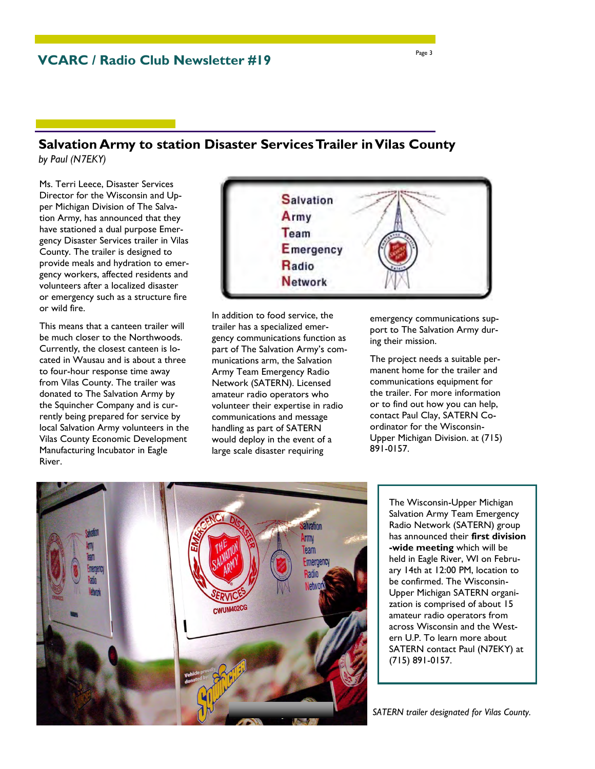### **Salvation Army to station Disaster Services Trailer in Vilas County**  *by Paul (N7EKY)*

Ms. Terri Leece, Disaster Services Director for the Wisconsin and Upper Michigan Division of The Salvation Army, has announced that they have stationed a dual purpose Emergency Disaster Services trailer in Vilas County. The trailer is designed to provide meals and hydration to emergency workers, affected residents and volunteers after a localized disaster or emergency such as a structure fire or wild fire.

This means that a canteen trailer will be much closer to the Northwoods. Currently, the closest canteen is located in Wausau and is about a three to four-hour response time away from Vilas County. The trailer was donated to The Salvation Army by the Squincher Company and is currently being prepared for service by local Salvation Army volunteers in the Vilas County Economic Development Manufacturing Incubator in Eagle River.



In addition to food service, the trailer has a specialized emergency communications function as part of The Salvation Army's communications arm, the Salvation Army Team Emergency Radio Network (SATERN). Licensed amateur radio operators who volunteer their expertise in radio communications and message handling as part of SATERN would deploy in the event of a large scale disaster requiring

emergency communications support to The Salvation Army during their mission.

The project needs a suitable permanent home for the trailer and communications equipment for the trailer. For more information or to find out how you can help, contact Paul Clay, SATERN Coordinator for the Wisconsin-Upper Michigan Division. at (715) 891-0157.



The Wisconsin-Upper Michigan Salvation Army Team Emergency Radio Network (SATERN) group has announced their **first division -wide meeting** which will be held in Eagle River, WI on February 14th at 12:00 PM, location to be confirmed. The Wisconsin-Upper Michigan SATERN organization is comprised of about 15 amateur radio operators from across Wisconsin and the Western U.P. To learn more about SATERN contact Paul (N7EKY) at (715) 891-0157.

*SATERN trailer designated for Vilas County.*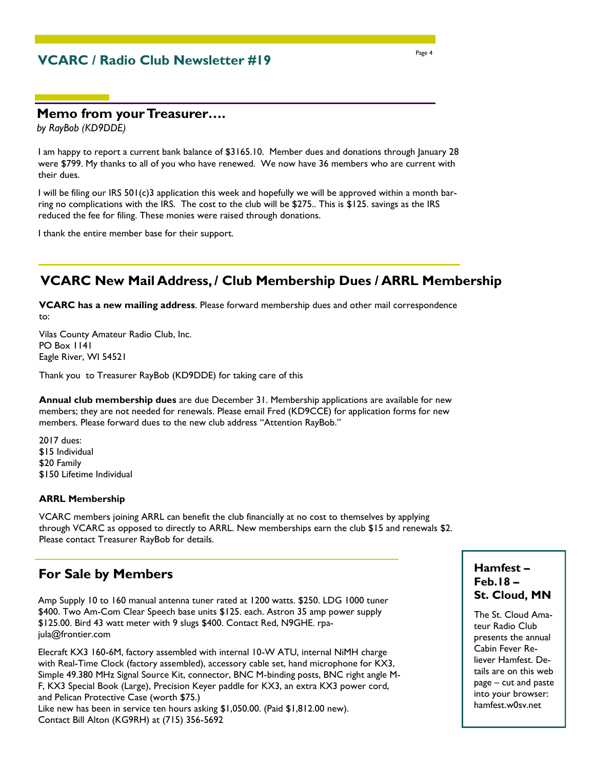# **VCARC / Radio Club Newsletter #19**

### **Memo from your Treasurer….**

*by RayBob (KD9DDE)*

I am happy to report a current bank balance of \$3165.10. Member dues and donations through January 28 were \$799. My thanks to all of you who have renewed. We now have 36 members who are current with their dues.

I will be filing our IRS 501(c)3 application this week and hopefully we will be approved within a month barring no complications with the IRS. The cost to the club will be \$275.. This is \$125. savings as the IRS reduced the fee for filing. These monies were raised through donations.

I thank the entire member base for their support.

# **VCARC New Mail Address, / Club Membership Dues / ARRL Membership**

**VCARC has a new mailing address**. Please forward membership dues and other mail correspondence to:

Vilas County Amateur Radio Club, Inc. PO Box 1141 Eagle River, WI 54521

Thank you to Treasurer RayBob (KD9DDE) for taking care of this

**Annual club membership dues** are due December 31. Membership applications are available for new members; they are not needed for renewals. Please email Fred (KD9CCE) for application forms for new members. Please forward dues to the new club address "Attention RayBob."

2017 dues: \$15 Individual \$20 Family \$150 Lifetime Individual

#### **ARRL Membership**

VCARC members joining ARRL can benefit the club financially at no cost to themselves by applying through VCARC as opposed to directly to ARRL. New memberships earn the club \$15 and renewals \$2. Please contact Treasurer RayBob for details.

# **For Sale by Members**

Amp Supply 10 to 160 manual antenna tuner rated at 1200 watts. \$250. LDG 1000 tuner \$400. Two Am-Com Clear Speech base units \$125. each. Astron 35 amp power supply \$125.00. Bird 43 watt meter with 9 slugs \$400. Contact Red, N9GHE. rpajula@frontier.com

Elecraft KX3 160-6M, factory assembled with internal 10-W ATU, internal NiMH charge with Real-Time Clock (factory assembled), accessory cable set, hand microphone for KX3, Simple 49.380 MHz Signal Source Kit, connector, BNC M-binding posts, BNC right angle M-F, KX3 Special Book (Large), Precision Keyer paddle for KX3, an extra KX3 power cord, and Pelican Protective Case (worth \$75.) Like new has been in service ten hours asking \$1,050.00. (Paid \$1,812.00 new). Contact Bill Alton (KG9RH) at (715) 356-5692

### **Hamfest – Feb.18 – St. Cloud, MN**

The St. Cloud Amateur Radio Club presents the annual Cabin Fever Reliever Hamfest. Details are on this web page – cut and paste into your browser: hamfest.w0sv.net